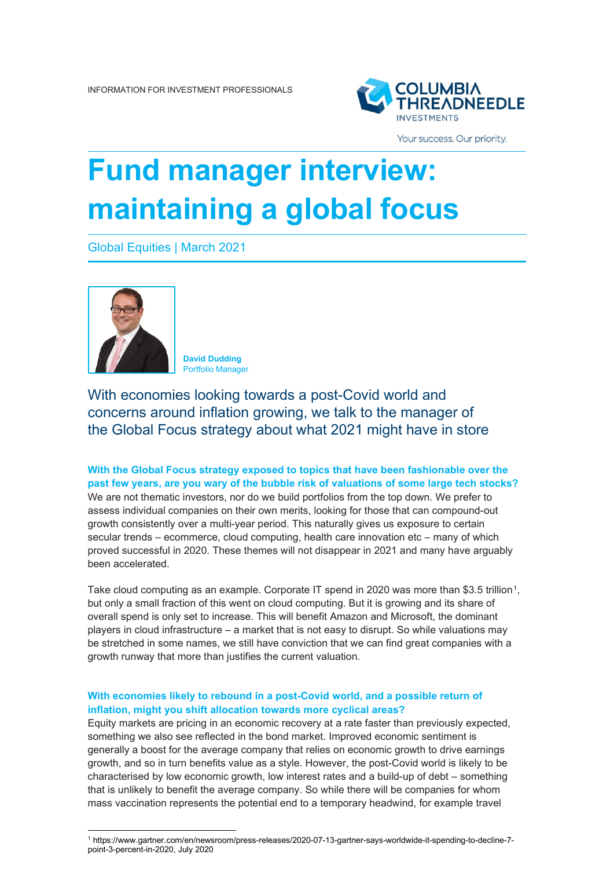

Your success. Our priority.

# **Fund manager interview: maintaining a global focus**

Global Equities | March 2021



**David Dudding** Portfolio Manager

With economies looking towards a post-Covid world and concerns around inflation growing, we talk to the manager of the Global Focus strategy about what 2021 might have in store

**With the Global Focus strategy exposed to topics that have been fashionable over the past few years, are you wary of the bubble risk of valuations of some large tech stocks?** We are not thematic investors, nor do we build portfolios from the top down. We prefer to assess individual companies on their own merits, looking for those that can compound-out growth consistently over a multi-year period. This naturally gives us exposure to certain secular trends – ecommerce, cloud computing, health care innovation etc – many of which proved successful in 2020. These themes will not disappear in 2021 and many have arguably been accelerated.

Take cloud computing as an example. Corporate IT spend in 2020 was more than \$3.5 trillion<sup>1</sup>, but only a small fraction of this went on cloud computing. But it is growing and its share of overall spend is only set to increase. This will benefit Amazon and Microsoft, the dominant players in cloud infrastructure – a market that is not easy to disrupt. So while valuations may be stretched in some names, we still have conviction that we can find great companies with a growth runway that more than justifies the current valuation.

## **With economies likely to rebound in a post-Covid world, and a possible return of inflation, might you shift allocation towards more cyclical areas?**

Equity markets are pricing in an economic recovery at a rate faster than previously expected, something we also see reflected in the bond market. Improved economic sentiment is generally a boost for the average company that relies on economic growth to drive earnings growth, and so in turn benefits value as a style. However, the post-Covid world is likely to be characterised by low economic growth, low interest rates and a build-up of debt – something that is unlikely to benefit the average company. So while there will be companies for whom mass vaccination represents the potential end to a temporary headwind, for example travel

<span id="page-0-0"></span><sup>1</sup> https://www.gartner.com/en/newsroom/press-releases/2020-07-13-gartner-says-worldwide-it-spending-to-decline-7 point-3-percent-in-2020, July 2020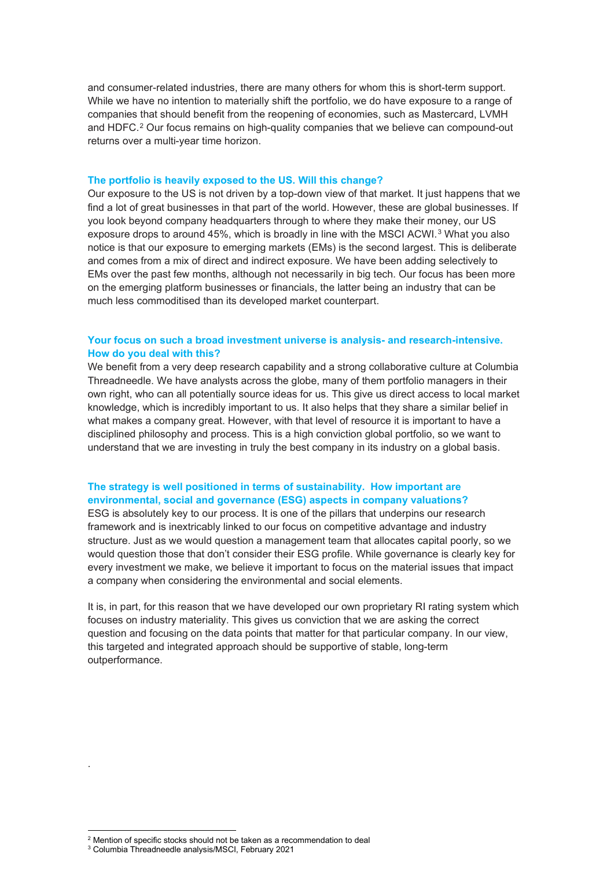and consumer-related industries, there are many others for whom this is short-term support. While we have no intention to materially shift the portfolio, we do have exposure to a range of companies that should benefit from the reopening of economies, such as Mastercard, LVMH and HDFC.<sup>[2](#page-1-0)</sup> Our focus remains on high-quality companies that we believe can compound-out returns over a multi-year time horizon.

#### **The portfolio is heavily exposed to the US. Will this change?**

Our exposure to the US is not driven by a top-down view of that market. It just happens that we find a lot of great businesses in that part of the world. However, these are global businesses. If you look beyond company headquarters through to where they make their money, our US exposure drops to around 45%, which is broadly in line with the MSCI ACWI.<sup>[3](#page-1-1)</sup> What you also notice is that our exposure to emerging markets (EMs) is the second largest. This is deliberate and comes from a mix of direct and indirect exposure. We have been adding selectively to EMs over the past few months, although not necessarily in big tech. Our focus has been more on the emerging platform businesses or financials, the latter being an industry that can be much less commoditised than its developed market counterpart.

#### **Your focus on such a broad investment universe is analysis- and research-intensive. How do you deal with this?**

We benefit from a very deep research capability and a strong collaborative culture at Columbia Threadneedle. We have analysts across the globe, many of them portfolio managers in their own right, who can all potentially source ideas for us. This give us direct access to local market knowledge, which is incredibly important to us. It also helps that they share a similar belief in what makes a company great. However, with that level of resource it is important to have a disciplined philosophy and process. This is a high conviction global portfolio, so we want to understand that we are investing in truly the best company in its industry on a global basis.

### **The strategy is well positioned in terms of sustainability. How important are environmental, social and governance (ESG) aspects in company valuations?**

ESG is absolutely key to our process. It is one of the pillars that underpins our research framework and is inextricably linked to our focus on competitive advantage and industry structure. Just as we would question a management team that allocates capital poorly, so we would question those that don't consider their ESG profile. While governance is clearly key for every investment we make, we believe it important to focus on the material issues that impact a company when considering the environmental and social elements.

It is, in part, for this reason that we have developed our own proprietary RI rating system which focuses on industry materiality. This gives us conviction that we are asking the correct question and focusing on the data points that matter for that particular company. In our view, this targeted and integrated approach should be supportive of stable, long-term outperformance.

.

<span id="page-1-1"></span><span id="page-1-0"></span><sup>&</sup>lt;sup>2</sup> Mention of specific stocks should not be taken as a recommendation to deal

<sup>3</sup> Columbia Threadneedle analysis/MSCI, February 2021